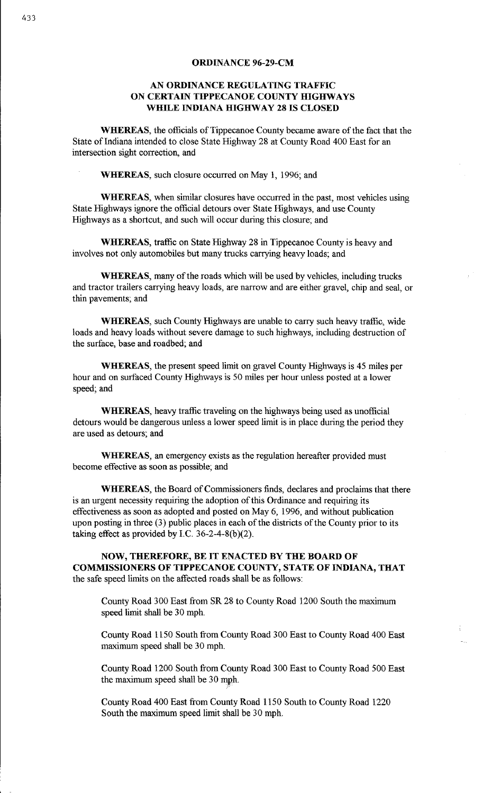#### **ORDINANCE 96-29-CM**

# **AN ORDINANCE REGULATING TRAFFIC ON CERTAIN TIPPECANOE COUNTY HIGHWAYS WHILE INDIANA HIGHWAY 28 IS CLOSED**

**WHEREAS,** the officials of Tippecanoe County became aware of the fact that the State of Indiana intended to close State Highway 28 at County Road 400 East for an intersection sight correction, and

**WHEREAS,** such closure occurred on May 1, 1996; and

**WHEREAS,** when similar closures have occurred in the past, most vehicles using State Highways ignore the official detours over State Highways, and use County Highways as a shortcut, and such will occur during this closure; and

**WHEREAS,** traffic on State Highway 28 in Tippecanoe County is heavy and involves not only automobiles but many trucks carrying heavy loads; and

**WHEREAS,** many of the roads which will be used by vehicles, including trucks and tractor trailers carrying heavy loads, are narrow and are either gravel, chip and seal, or thin pavements; and

**WHEREAS,** such County Highways are unable to carry such heavy traffic, wide loads and heavy loads without severe damage to such highways, including destruction of the surface, base and roadbed; and

**WHEREAS,** the present speed limit on gravel County Highways is 45 miles per hour and on surfaced County Highways is 50 miles per hour unless posted at a lower speed; and

**WHEREAS,** heavy traffic traveling on the highways being used as unofficial detours would be dangerous unless a lower speed limit is in place during the period they are used as detours; and

**WHEREAS,** an emergency exists as the regulation hereafter provided must become effective as soon as possible; and

**WHEREAS,** the Board of Commissioners finds, declares and proclaims that there is an urgent necessity requiring the adoption of this Ordinance and requiring its effectiveness as soon as adopted and posted on May 6, 1996, and without publication upon posting in three (3) public places in each of the districts of the County prior to its taking effect as provided by I.C. 36-2-4-8(b) $(2)$ .

**NOW, THEREFORE, BE IT ENACTED BY THE BOARD OF COMMISSIONERS OF TIPPECANOE COUNTY, STATE OF INDIANA, THAT** the safe speed limits on the affected roads shall be as follows:

County Road 300 East from SR 28 to County Road 1200 South the maximum speed limit shall be 30 mph.

County Road 1150 South from County Road 300 East to County Road 400 East maximum speed shall be 30 mph.

County Road 1200 South from County Road 300 East to County Road 500 East the maximum speed shall be 30 mph.

County Road 400 East from County Road 1150 South to County Road 1220 South the maximum speed limit shall be 30 mph.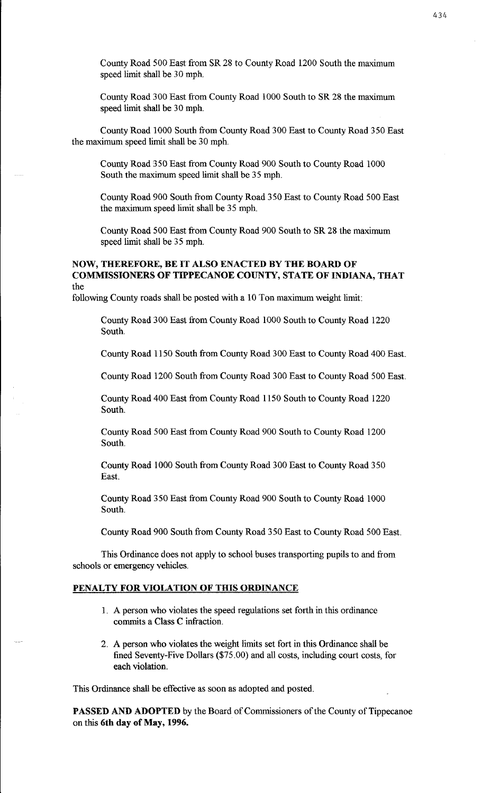County Road 500 East from SR 28 to County Road 1200 South the maximum speed limit shall be 30 mph.

County Road 300 East from County Road 1000 South to SR 28 the maximum speed limit shall be 30 mph.

County Road 1000 South from County Road 300 East to County Road 350 East the maximum speed limit shall be 30 mph.

County Road 350 East from County Road 900 South to County Road 1000 South the maximum speed limit shall be 35 mph.

County Road 900 South from County Road 350 East to County Road 500 East the maximum speed limit shall be 35 mph.

County Road 500 East from County Road 900 South to SR 28 the maximum speed limit shall be 35 mph.

### **NOW, THEREFORE, BE IT ALSO ENACTED BY THE BOARD OF COMMISSIONERS OF TIPPECANOE COUNTY, STATE OF INDIANA, THAT**  the

following County roads shall be posted with a 10 Ton maximum weight limit:

County Road 300 East from County Road 1000 South to County Road 1220 South.

County Road 1150 South from County Road 300 East to County Road 400 East.

County Road 1200 South from County Road 300 East to County Road 500 East.

County Road 400 East from County Road 1150 South to County Road 1220 South.

County Road 500 East from County Road 900 South to County Road 1200 South.

County Road 1000 South from County Road 300 East to County Road 350 East.

County Road 350 East from County Road 900 South to County Road 1000 South.

County Road 900 South from County Road 350 East to County Road 500 East.

This Ordinance does not apply to school buses transporting pupils to and from schools or emergency vehicles.

#### **PENALTY FOR VIOLATION OF THIS ORDINANCE**

- 1. A person who violates the speed regulations set forth in this ordinance commits a Class C infraction.
- 2. A person who violates the weight limits set fort in this Ordinance shall be fined Seventy-Five Dollars (\$75.00) and all costs, including court costs, for each violation.

This Ordinance shall be effective as soon as adopted and posted.

**PASSED AND ADOPTED** by the Board of Commissioners of the County of Tippecanoe on this **6th day of May, 1996.**